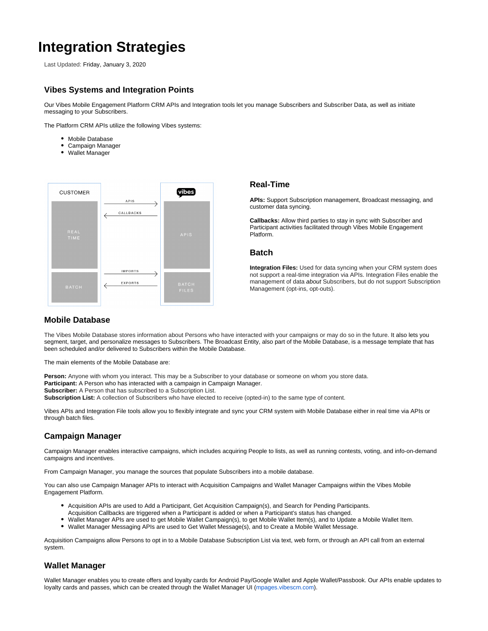# **Integration Strategies**

Last Updated: Friday, January 3, 2020

## **Vibes Systems and Integration Points**

Our Vibes Mobile Engagement Platform CRM APIs and Integration tools let you manage Subscribers and Subscriber Data, as well as initiate messaging to your Subscribers.

The Platform CRM APIs utilize the following Vibes systems:

- Mobile Database
- Campaign Manager
- Wallet Manager



#### **Real-Time**

**APIs:** Support Subscription management, Broadcast messaging, and customer data syncing.

**Callbacks:** Allow third parties to stay in sync with Subscriber and Participant activities facilitated through Vibes Mobile Engagement Platform.

#### **Batch**

**Integration Files:** Used for data syncing when your CRM system does not support a real-time integration via APIs. Integration Files enable the management of data about Subscribers, but do not support Subscription Management (opt-ins, opt-outs).

#### **Mobile Database**

The Vibes Mobile Database stores information about Persons who have interacted with your campaigns or may do so in the future. It also lets you segment, target, and personalize messages to Subscribers. The Broadcast Entity, also part of the Mobile Database, is a message template that has been scheduled and/or delivered to Subscribers within the Mobile Database.

The main elements of the Mobile Database are:

**Person:** Anyone with whom you interact. This may be a Subscriber to your database or someone on whom you store data. **Participant:** A Person who has interacted with a campaign in Campaign Manager. **Subscriber:** A Person that has subscribed to a Subscription List. **Subscription List:** A collection of Subscribers who have elected to receive (opted-in) to the same type of content.

Vibes APIs and Integration File tools allow you to flexibly integrate and sync your CRM system with Mobile Database either in real time via APIs or through batch files.

## **Campaign Manager**

Campaign Manager enables interactive campaigns, which includes acquiring People to lists, as well as running contests, voting, and info-on-demand campaigns and incentives.

From Campaign Manager, you manage the sources that populate Subscribers into a mobile database.

You can also use Campaign Manager APIs to interact with Acquisition Campaigns and Wallet Manager Campaigns within the Vibes Mobile Engagement Platform.

- Acquisition APIs are used to Add a Participant, Get Acquisition Campaign(s), and Search for Pending Participants.
- Acquisition Callbacks are triggered when a Participant is added or when a Participant's status has changed.
- Wallet Manager APIs are used to get Mobile Wallet Campaign(s), to get Mobile Wallet Item(s), and to Update a Mobile Wallet Item.
- Wallet Manager Messaging APIs are used to Get Wallet Message(s), and to Create a Mobile Wallet Message.

Acquisition Campaigns allow Persons to opt in to a Mobile Database Subscription List via text, web form, or through an API call from an external system.

### **Wallet Manager**

Δ

Wallet Manager enables you to create offers and loyalty cards for Android Pay/Google Wallet and Apple Wallet/Passbook. Our APIs enable updates to loyalty cards and passes, which can be created through the Wallet Manager UI [\(mpages.vibescm.com\)](http://mpages.vibescm.com).